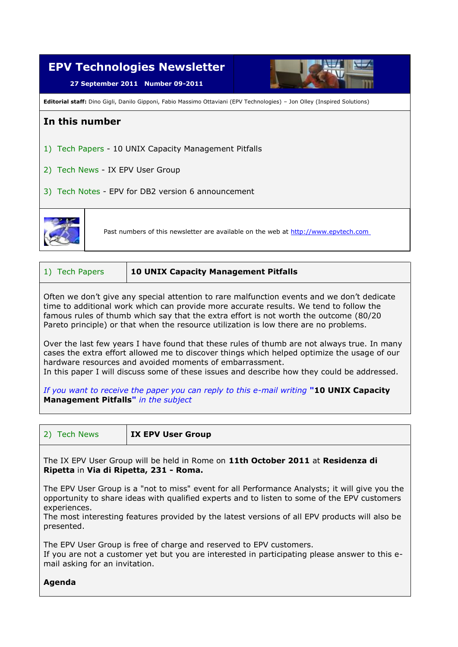

| 10 UNIX Capacity Management Pitfalls<br>1) Tech Papers |  |
|--------------------------------------------------------|--|
|--------------------------------------------------------|--|

Often we don't give any special attention to rare malfunction events and we don't dedicate time to additional work which can provide more accurate results. We tend to follow the famous rules of thumb which say that the extra effort is not worth the outcome (80/20 Pareto principle) or that when the resource utilization is low there are no problems.

Over the last few years I have found that these rules of thumb are not always true. In many cases the extra effort allowed me to discover things which helped optimize the usage of our hardware resources and avoided moments of embarrassment.

In this paper I will discuss some of these issues and describe how they could be addressed.

*If you want to receive the paper you can reply to this e-mail writing* **"10 UNIX Capacity Management Pitfalls"** *in the subject*

2) Tech News **IX EPV User Group**

The IX EPV User Group will be held in Rome on **11th October 2011** at **Residenza di Ripetta** in **Via di Ripetta, 231 - Roma.**

The EPV User Group is a "not to miss" event for all Performance Analysts; it will give you the opportunity to share ideas with qualified experts and to listen to some of the EPV customers experiences.

The most interesting features provided by the latest versions of all EPV products will also be presented.

The EPV User Group is free of charge and reserved to EPV customers.

If you are not a customer yet but you are interested in participating please answer to this email asking for an invitation.

## **Agenda**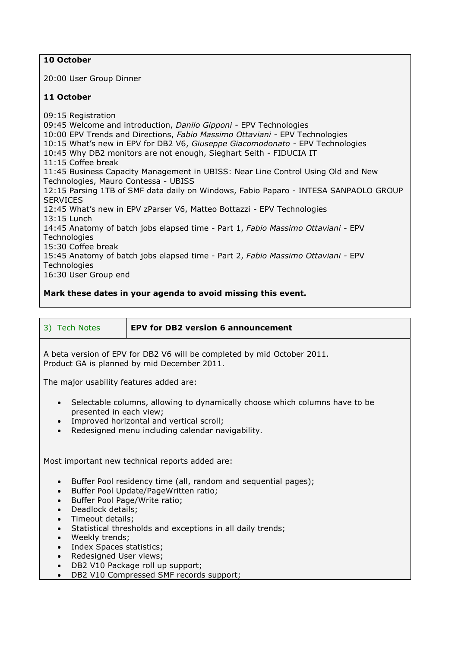## **10 October**

20:00 User Group Dinner

## **11 October**

09:15 Registration 09:45 Welcome and introduction, *Danilo Gipponi* - EPV Technologies 10:00 EPV Trends and Directions, *Fabio Massimo Ottaviani -* EPV Technologies 10:15 What's new in EPV for DB2 V6, *Giuseppe Giacomodonato -* EPV Technologies 10:45 Why DB2 monitors are not enough, Sieghart Seith - FIDUCIA IT 11:15 Coffee break 11:45 Business Capacity Management in UBISS: Near Line Control Using Old and New Technologies, Mauro Contessa - UBISS 12:15 Parsing 1TB of SMF data daily on Windows, Fabio Paparo - INTESA SANPAOLO GROUP **SERVICES** 12:45 What's new in EPV zParser V6, Matteo Bottazzi - EPV Technologies 13:15 Lunch 14:45 Anatomy of batch jobs elapsed time - Part 1, *Fabio Massimo Ottaviani -* EPV **Technologies** 15:30 Coffee break 15:45 Anatomy of batch jobs elapsed time - Part 2, *Fabio Massimo Ottaviani -* EPV **Technologies** 16:30 User Group end

## **Mark these dates in your agenda to avoid missing this event.**

|  | 3) Tech Notes |  |
|--|---------------|--|
|  |               |  |

**EPV for DB2 version 6 announcement** 

A beta version of EPV for DB2 V6 will be completed by mid October 2011. Product GA is planned by mid December 2011.

The major usability features added are:

- Selectable columns, allowing to dynamically choose which columns have to be presented in each view;
- Improved horizontal and vertical scroll;
- Redesigned menu including calendar navigability.

Most important new technical reports added are:

- Buffer Pool residency time (all, random and sequential pages);
- Buffer Pool Update/PageWritten ratio;
- Buffer Pool Page/Write ratio;
- Deadlock details:
- Timeout details:
- Statistical thresholds and exceptions in all daily trends;
- Weekly trends;
- Index Spaces statistics;
- Redesigned User views;
- DB2 V10 Package roll up support;
- DB2 V10 Compressed SMF records support;